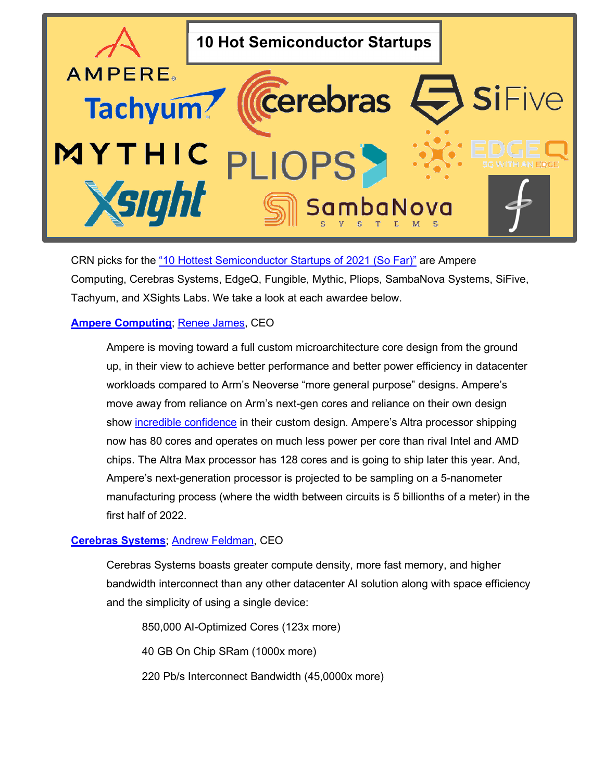

CRN picks for the "10 Hottest [Semiconductor](https://www.crn.com/slide-shows/components-peripherals/the-10-hottest-semiconductor-startups-of-2021-so-far-/7) Startups of 2021 (So Far)" are Ampere Computing, Cerebras Systems, EdgeQ, Fungible, Mythic, Pliops, SambaNova Systems, SiFive, Tachyum, and XSights Labs. We take a look at each awardee below.

# **Ampere [Computing](https://amperecomputing.com/)**; [Renee James,](https://www.linkedin.com/in/renee-j-james-64182424/) CEO

Ampere is moving toward a full custom microarchitecture core design from the ground up, in their view to achieve better performance and better power efficiency in datacenter workloads compared to Arm's Neoverse "more general purpose" designs. Ampere's move away from reliance on Arm's next-gen cores and reliance on their own design show [incredible confidence](https://www.anandtech.com/show/16684/ampere-roadmap-full-custom-cores) in their custom design. Ampere's Altra processor shipping now has 80 cores and operates on much less power per core than rival Intel and AMD chips. The Altra Max processor has 128 cores and is going to ship later this year. And, Ampere's next-generation processor is projected to be sampling on a 5-nanometer manufacturing process (where the width between circuits is 5 billionths of a meter) in the first half of 2022.

# **[Cerebras](https://cerebras.net/) Systems**; [Andrew Feldman,](https://www.linkedin.com/in/andrewdfeldman/) CEO

Cerebras Systems boasts greater compute density, more fast memory, and higher bandwidth interconnect than any other datacenter AI solution along with space efficiency and the simplicity of using a single device:

850,000 AI-Optimized Cores (123x more) 40 GB On Chip SRam (1000x more) 220 Pb/s Interconnect Bandwidth (45,0000x more)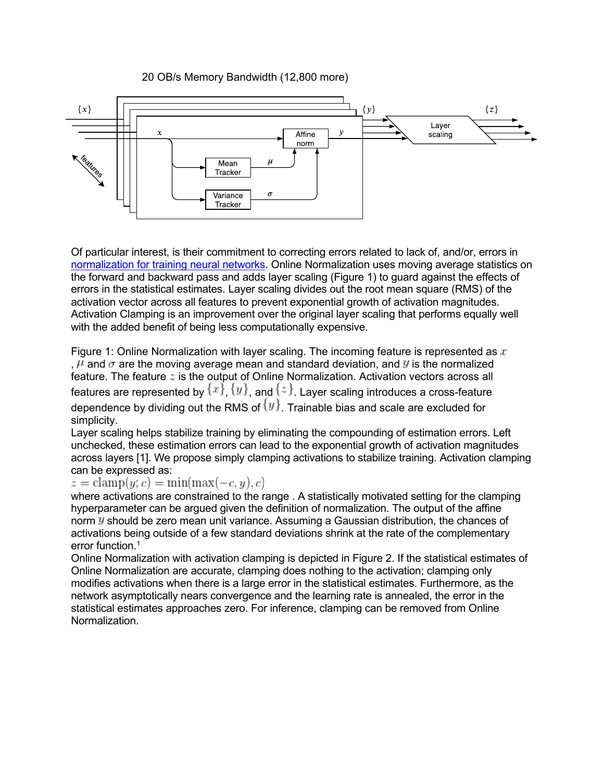### 20 OB/s Memory Bandwidth (12,800 more)



Of particular interest, is their commitment to correcting errors related to lack of, and/or, errors in [normalization for training neural networks.](https://cerebras.net/blog/neurips-2019-online-normalization-for-training-neural-networks/) Online Normalization uses moving average statistics on the forward and backward pass and adds layer scaling (Figure 1) to guard against the effects of errors in the statistical estimates. Layer scaling divides out the root mean square (RMS) of the activation vector across all features to prevent exponential growth of activation magnitudes. Activation Clamping is an improvement over the original layer scaling that performs equally well with the added benefit of being less computationally expensive.

Figure 1: Online Normalization with layer scaling. The incoming feature is represented as  $x$ ,  $\mu$  and  $\sigma$  are the moving average mean and standard deviation, and  $y$  is the normalized feature. The feature  $z$  is the output of Online Normalization. Activation vectors across all features are represented by  $\{x\},$   $\{y\},$  and  $\{z\}$ . Layer scaling introduces a cross-feature dependence by dividing out the RMS of  $\{y\}$ . Trainable bias and scale are excluded for simplicity.

Layer scaling helps stabilize training by eliminating the compounding of estimation errors. Left unchecked, these estimation errors can lead to the exponential growth of activation magnitudes across layers [1]. We propose simply clamping activations to stabilize training. Activation clamping can be expressed as:<br> $z = \text{clamp}(y; c) = \text{min}(\text{max}(-c, y), c)$ 

where activations are constrained to the range . A statistically motivated setting for the clamping hyperparameter can be argued given the definition of normalization. The output of the affine norm  $y$  should be zero mean unit variance. Assuming a Gaussian distribution, the chances of activations being outside of a few standard deviations shrink at the rate of the complementary error function.<sup>1</sup>

Online Normalization with activation clamping is depicted in Figure 2. If the statistical estimates of Online Normalization are accurate, clamping does nothing to the activation; clamping only modifies activations when there is a large error in the statistical estimates. Furthermore, as the network asymptotically nears convergence and the learning rate is annealed, the error in the statistical estimates approaches zero. For inference, clamping can be removed from Online Normalization.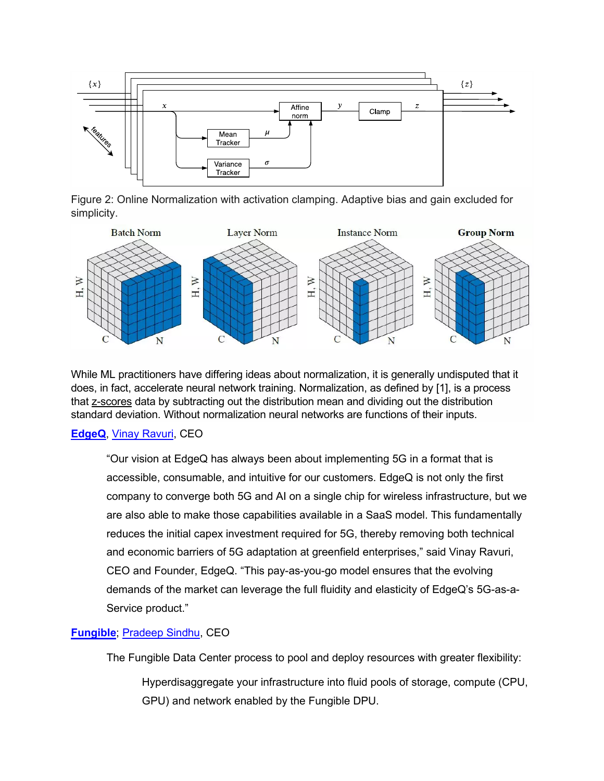

Figure 2: Online Normalization with activation clamping. Adaptive bias and gain excluded for simplicity.



While ML practitioners have differing ideas about normalization, it is generally undisputed that it does, in fact, accelerate neural network training. Normalization, as defined by [1], is a process that [z-scores](https://www.statisticshowto.datasciencecentral.com/probability-and-statistics/z-score/%7D) data by subtracting out the distribution mean and dividing out the distribution standard deviation. Without normalization neural networks are functions of their inputs.

### **[EdgeQ](https://edgeq.io/)**, [Vinay Ravuri,](https://www.linkedin.com/in/vinayravuri/) CEO

"Our vision at EdgeQ has always been about implementing 5G in a format that is accessible, consumable, and intuitive for our customers. EdgeQ is not only the first company to converge both 5G and AI on a single chip for wireless infrastructure, but we are also able to make those capabilities available in a SaaS model. This fundamentally reduces the initial capex investment required for 5G, thereby removing both technical and economic barriers of 5G adaptation at greenfield enterprises," said Vinay Ravuri, CEO and Founder, EdgeQ. "This pay-as-you-go model ensures that the evolving demands of the market can leverage the full fluidity and elasticity of EdgeQ's 5G-as-a-Service product."

### **[Fungible](https://www.fungible.com/)**; [Pradeep Sindhu,](https://www.linkedin.com/in/pradeep-sindhu-889645a2/) CEO

The Fungible Data Center process to pool and deploy resources with greater flexibility:

Hyperdisaggregate your infrastructure into fluid pools of storage, compute (CPU, GPU) and network enabled by the Fungible DPU.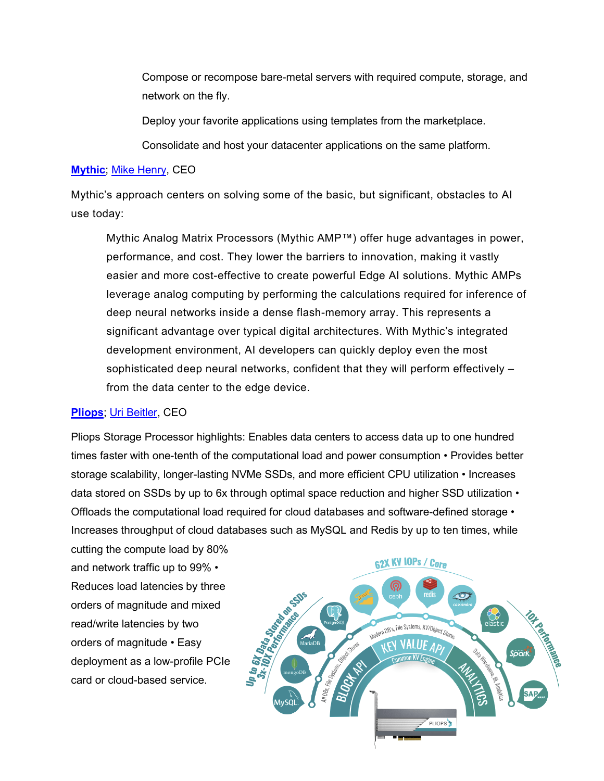Compose or recompose bare-metal servers with required compute, storage, and network on the fly.

Deploy your favorite applications using templates from the marketplace.

Consolidate and host your datacenter applications on the same platform.

### **[Mythic](https://www.mythic-ai.com/)**; [Mike Henry,](https://www.linkedin.com/in/mike-p-henry/?originalSubdomain=au) CEO

Mythic's approach centers on solving some of the basic, but significant, obstacles to AI use today:

Mythic Analog Matrix Processors (Mythic AMP™) offer huge advantages in power, performance, and cost. They lower the barriers to innovation, making it vastly easier and more cost-effective to create powerful Edge AI solutions. Mythic AMPs leverage analog computing by performing the calculations required for inference of deep neural networks inside a dense flash-memory array. This represents a significant advantage over typical digital architectures. With Mythic's integrated development environment, AI developers can quickly deploy even the most sophisticated deep neural networks, confident that they will perform effectively – from the data center to the edge device.

### **[Pliops](https://pliops.com/)**; [Uri Beitler,](https://www.linkedin.com/in/uri-beitler-7667312a/?originalSubdomain=il) CEO

Pliops Storage Processor highlights: Enables data centers to access data up to one hundred times faster with one-tenth of the computational load and power consumption • Provides better storage scalability, longer-lasting NVMe SSDs, and more efficient CPU utilization • Increases data stored on SSDs by up to 6x through optimal space reduction and higher SSD utilization  $\cdot$ Offloads the computational load required for cloud databases and software-defined storage • Increases throughput of cloud databases such as MySQL and Redis by up to ten times, while

cutting the compute load by 80% and network traffic up to 99% • Reduces load latencies by three orders of magnitude and mixed read/write latencies by two orders of magnitude • Easy deployment as a low-profile PCIe card or cloud-based service.

**62X KV 10Ps / Core** 

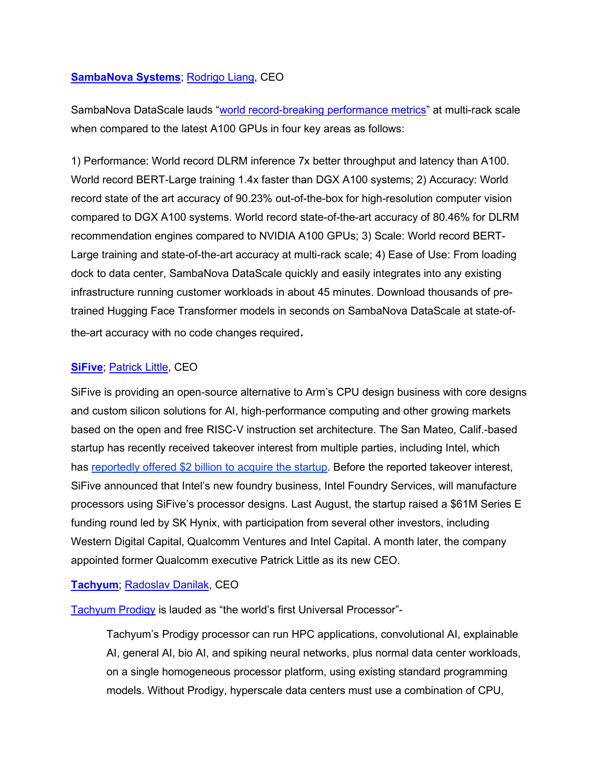#### **[SambaNova](https://sambanova.ai/press/sambanova-systems-ushers-in-new-era-of-computing-with-availability-of-sambanova-datascale-built-for-ai/) Systems**; [Rodrigo Liang,](https://www.linkedin.com/in/rodrigo-liang-2a47b95/) CEO

SambaNova DataScale lauds ["world record-breaking performance metrics"](https://sambanova.ai/press/sambanova-systems-ushers-in-new-era-of-computing-with-availability-of-sambanova-datascale-built-for-ai/) at multi-rack scale when compared to the latest A100 GPUs in four key areas as follows:

1) Performance: World record DLRM inference 7x better throughput and latency than A100. World record BERT-Large training 1.4x faster than DGX A100 systems; 2) Accuracy: World record state of the art accuracy of 90.23% out-of-the-box for high-resolution computer vision compared to DGX A100 systems. World record state-of-the-art accuracy of 80.46% for DLRM recommendation engines compared to NVIDIA A100 GPUs; 3) Scale: World record BERT-Large training and state-of-the-art accuracy at multi-rack scale; 4) Ease of Use: From loading dock to data center, SambaNova DataScale quickly and easily integrates into any existing infrastructure running customer workloads in about 45 minutes. Download thousands of pretrained Hugging Face Transformer models in seconds on SambaNova DataScale at state-ofthe-art accuracy with no code changes required.

#### **[SiFive](https://www.sifive.com/)**; [Patrick Little,](https://www.linkedin.com/in/patrickwlittle/) CEO

SiFive is providing an open-source alternative to Arm's CPU design business with core designs and custom silicon solutions for AI, high-performance computing and other growing markets based on the open and free RISC-V instruction set architecture. The San Mateo, Calif.-based startup has recently received takeover interest from multiple parties, including Intel, which has [reportedly](https://www.crn.com/news/components-peripherals/intel-seeks-to-buy-arm-rival-sifive-for-2b-report) offered \$2 billion to acquire the startup. Before the reported takeover interest, SiFive announced that Intel's new foundry business, Intel Foundry Services, will manufacture processors using SiFive's processor designs. Last August, the startup raised a \$61M Series E funding round led by SK Hynix, with participation from several other investors, including Western Digital Capital, Qualcomm Ventures and Intel Capital. A month later, the company appointed former Qualcomm executive Patrick Little as its new CEO.

### **[Tachyum](https://www.tachyum.com/)**; [Radoslav Danilak,](https://www.linkedin.com/in/rado-danilak-9582a41/) CEO

[Tachyum Prodigy](https://www.tachyum.com/media/press-releases/2021/06/22/tachyum-touts-value-proposition-of-prodigy-universal-processor-at-isc-2021/) is lauded as "the world's first Universal Processor"-

Tachyum's Prodigy processor can run HPC applications, convolutional AI, explainable AI, general AI, bio AI, and spiking neural networks, plus normal data center workloads, on a single homogeneous processor platform, using existing standard programming models. Without Prodigy, hyperscale data centers must use a combination of CPU,